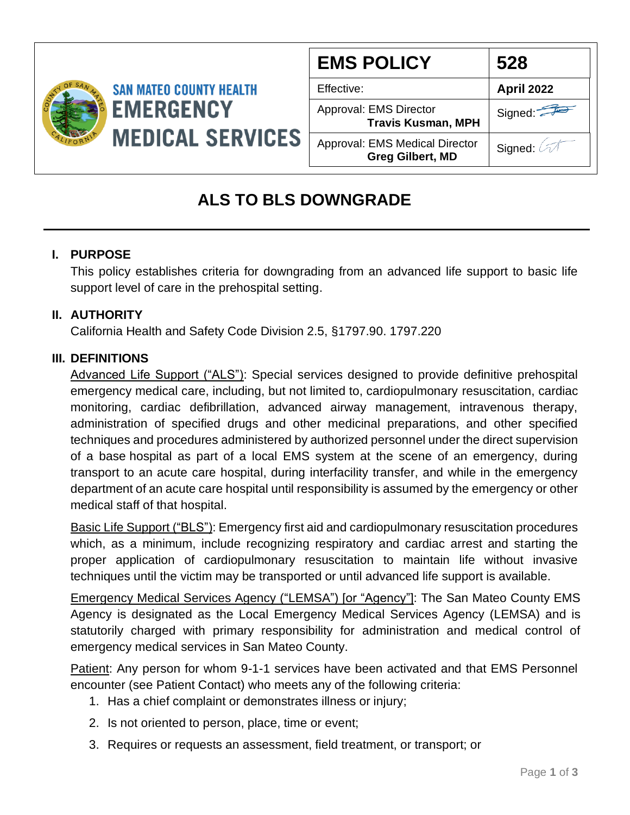

| <b>EMS POLICY</b>                                                | 528               |
|------------------------------------------------------------------|-------------------|
| Effective:                                                       | <b>April 2022</b> |
| Approval: EMS Director<br><b>Travis Kusman, MPH</b>              | Signed:           |
| <b>Approval: EMS Medical Director</b><br><b>Greg Gilbert, MD</b> | Signed: 2         |

# **ALS TO BLS DOWNGRADE**

## **I. PURPOSE**

This policy establishes criteria for downgrading from an advanced life support to basic life support level of care in the prehospital setting.

### **II. AUTHORITY**

California Health and Safety Code Division 2.5, §1797.90. 1797.220

### **III. DEFINITIONS**

Advanced Life Support ("ALS"): Special services designed to provide definitive prehospital emergency medical care, including, but not limited to, cardiopulmonary resuscitation, cardiac monitoring, cardiac defibrillation, advanced airway management, intravenous therapy, administration of specified drugs and other medicinal preparations, and other specified techniques and procedures administered by authorized personnel under the direct supervision of a base hospital as part of a local EMS system at the scene of an emergency, during transport to an acute care hospital, during interfacility transfer, and while in the emergency department of an acute care hospital until responsibility is assumed by the emergency or other medical staff of that hospital.

Basic Life Support ("BLS"): Emergency first aid and cardiopulmonary resuscitation procedures which, as a minimum, include recognizing respiratory and cardiac arrest and starting the proper application of cardiopulmonary resuscitation to maintain life without invasive techniques until the victim may be transported or until advanced life support is available.

Emergency Medical Services Agency ("LEMSA") [or "Agency"]: The San Mateo County EMS Agency is designated as the Local Emergency Medical Services Agency (LEMSA) and is statutorily charged with primary responsibility for administration and medical control of emergency medical services in San Mateo County.

Patient: Any person for whom 9-1-1 services have been activated and that EMS Personnel encounter (see Patient Contact) who meets any of the following criteria:

- 1. Has a chief complaint or demonstrates illness or injury;
- 2. Is not oriented to person, place, time or event;
- 3. Requires or requests an assessment, field treatment, or transport; or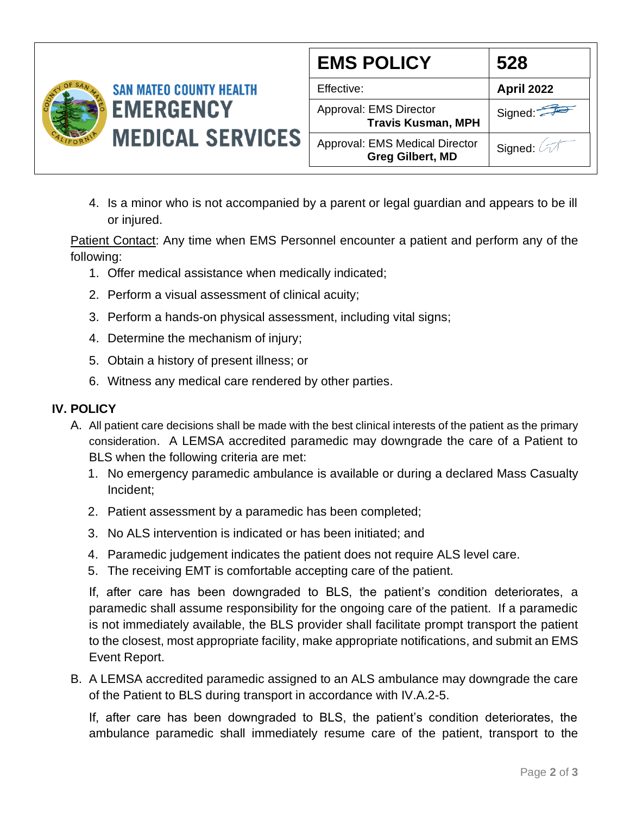

| <b>EMS POLICY</b>                                         | 528               |
|-----------------------------------------------------------|-------------------|
| Effective:                                                | <b>April 2022</b> |
| Approval: EMS Director<br><b>Travis Kusman, MPH</b>       | Signed:           |
| Approval: EMS Medical Director<br><b>Greg Gilbert, MD</b> | Signed: 67        |

4. Is a minor who is not accompanied by a parent or legal guardian and appears to be ill or injured.

Patient Contact: Any time when EMS Personnel encounter a patient and perform any of the following:

- 1. Offer medical assistance when medically indicated;
- 2. Perform a visual assessment of clinical acuity;
- 3. Perform a hands-on physical assessment, including vital signs;
- 4. Determine the mechanism of injury;
- 5. Obtain a history of present illness; or
- 6. Witness any medical care rendered by other parties.

#### **IV. POLICY**

- A. All patient care decisions shall be made with the best clinical interests of the patient as the primary consideration. A LEMSA accredited paramedic may downgrade the care of a Patient to BLS when the following criteria are met:
	- 1. No emergency paramedic ambulance is available or during a declared Mass Casualty Incident;
	- 2. Patient assessment by a paramedic has been completed;
	- 3. No ALS intervention is indicated or has been initiated; and
	- 4. Paramedic judgement indicates the patient does not require ALS level care.
	- 5. The receiving EMT is comfortable accepting care of the patient.

If, after care has been downgraded to BLS, the patient's condition deteriorates, a paramedic shall assume responsibility for the ongoing care of the patient. If a paramedic is not immediately available, the BLS provider shall facilitate prompt transport the patient to the closest, most appropriate facility, make appropriate notifications, and submit an EMS Event Report.

B. A LEMSA accredited paramedic assigned to an ALS ambulance may downgrade the care of the Patient to BLS during transport in accordance with IV.A.2-5.

If, after care has been downgraded to BLS, the patient's condition deteriorates, the ambulance paramedic shall immediately resume care of the patient, transport to the